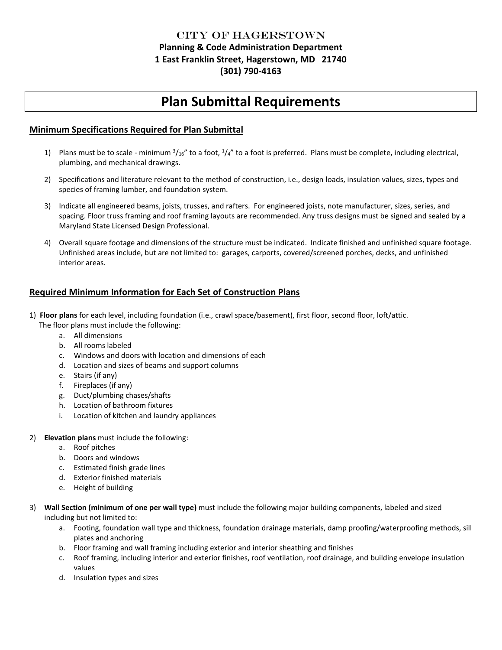## City of Hagerstown **Planning & Code Administration Department 1 East Franklin Street, Hagerstown, MD 21740 (301) 790-4163**

# **Plan Submittal Requirements**

### **Minimum Specifications Required for Plan Submittal**

- 1) Plans must be to scale minimum  $\frac{3}{16}$ " to a foot,  $\frac{1}{4}$ " to a foot is preferred. Plans must be complete, including electrical, plumbing, and mechanical drawings.
- 2) Specifications and literature relevant to the method of construction, i.e., design loads, insulation values, sizes, types and species of framing lumber, and foundation system.
- 3) Indicate all engineered beams, joists, trusses, and rafters. For engineered joists, note manufacturer, sizes, series, and spacing. Floor truss framing and roof framing layouts are recommended. Any truss designs must be signed and sealed by a Maryland State Licensed Design Professional.
- 4) Overall square footage and dimensions of the structure must be indicated. Indicate finished and unfinished square footage. Unfinished areas include, but are not limited to: garages, carports, covered/screened porches, decks, and unfinished interior areas.

## **Required Minimum Information for Each Set of Construction Plans**

- 1) **Floor plans** for each level, including foundation (i.e., crawl space/basement), first floor, second floor, loft/attic. The floor plans must include the following:
	- a. All dimensions
	- b. All rooms labeled
	- c. Windows and doors with location and dimensions of each
	- d. Location and sizes of beams and support columns
	- e. Stairs (if any)
	- f. Fireplaces (if any)
	- g. Duct/plumbing chases/shafts
	- h. Location of bathroom fixtures
	- i. Location of kitchen and laundry appliances
- 2) **Elevation plans** must include the following:
	- a. Roof pitches
	- b. Doors and windows
	- c. Estimated finish grade lines
	- d. Exterior finished materials
	- e. Height of building
- 3) **Wall Section (minimum of one per wall type)** must include the following major building components, labeled and sized including but not limited to:
	- a. Footing, foundation wall type and thickness, foundation drainage materials, damp proofing/waterproofing methods, sill plates and anchoring
	- b. Floor framing and wall framing including exterior and interior sheathing and finishes
	- c. Roof framing, including interior and exterior finishes, roof ventilation, roof drainage, and building envelope insulation values
	- d. Insulation types and sizes